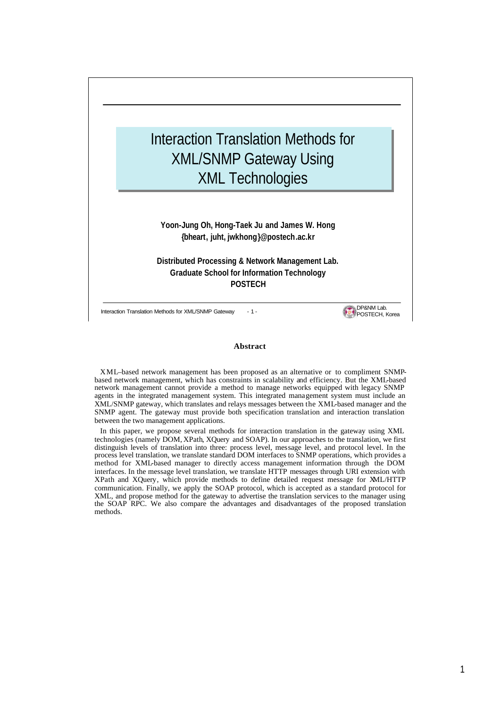

#### **Abstract**

XML–based network management has been proposed as an alternative or to compliment SNMPbased network management, which has constraints in scalability and efficiency. But the XML-based network management cannot provide a method to manage networks equipped with legacy SNMP agents in the integrated management system. This integrated management system must include an XML/SNMP gateway, which translates and relays messages between the XML-based manager and the SNMP agent. The gateway must provide both specification translation and interaction translation between the two management applications.

In this paper, we propose several methods for interaction translation in the gateway using XML technologies (namely DOM, XPath, XQuery and SOAP). In our approaches to the translation, we first distinguish levels of translation into three: process level, message level, and protocol level. In the process level translation, we translate standard DOM interfaces to SNMP operations, which provides a method for XML-based manager to directly access management information through the DOM interfaces. In the message level translation, we translate HTTP messages through URI extension with XPath and XQuery, which provide methods to define detailed request message for XML/HTTP communication. Finally, we apply the SOAP protocol, which is accepted as a standard protocol for XML, and propose method for the gateway to advertise the translation services to the manager using the SOAP RPC. We also compare the advantages and disadvantages of the proposed translation methods.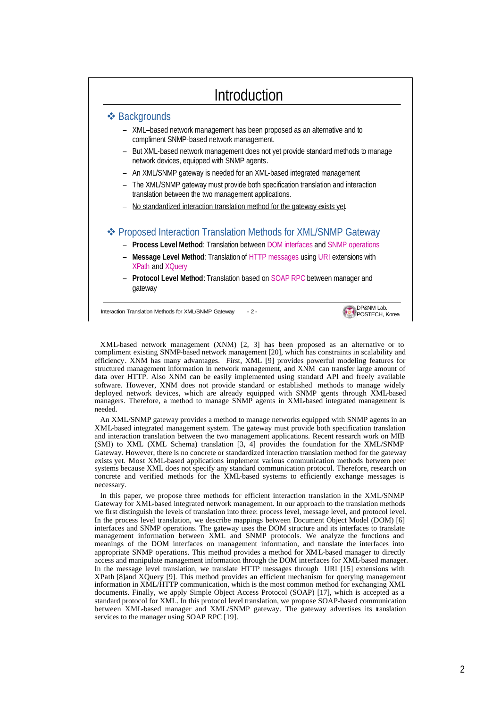## Introduction



XML-based network management (XNM) [2, 3] has been proposed as an alternative or to compliment existing SNMP-based network management [20], which has constraints in scalability and efficiency. XNM has many advantages. First, XML [9] provides powerful modeling features for structured management information in network management, and XNM can transfer large amount of data over HTTP. Also XNM can be easily implemented using standard API and freely available software. However, XNM does not provide standard or established methods to manage widely deployed network devices, which are already equipped with SNMP agents through XML-based managers. Therefore, a method to manage SNMP agents in XML-based integrated management is needed.

An XML/SNMP gateway provides a method to manage networks equipped with SNMP agents in an XML-based integrated management system. The gateway must provide both specification translation and interaction translation between the two management applications. Recent research work on MIB (SMI) to XML (XML Schema) translation [3, 4] provides the foundation for the XML/SNMP Gateway. However, there is no concrete or standardized interaction translation method for the gateway exists yet. Most XML-based applications implement various communication methods between peer systems because XML does not specify any standard communication protocol. Therefore, research on concrete and verified methods for the XML-based systems to efficiently exchange messages is necessary.

In this paper, we propose three methods for efficient interaction translation in the XML/SNMP Gateway for XML-based integrated network management. In our approach to the translation methods we first distinguish the levels of translation into three: process level, message level, and protocol level. In the process level translation, we describe mappings between Document Object Model (DOM) [6] interfaces and SNMP operations. The gateway uses the DOM structure and its interfaces to translate management information between XML and SNMP protocols. We analyze the functions and meanings of the DOM interfaces on management information, and translate the interfaces into appropriate SNMP operations. This method provides a method for XM L-based manager to directly access and manipulate management information through the DOM interfaces for XML-based manager. In the message level translation, we translate HTTP messages through URI [15] extensions with XPath [8]and XQuery [9]. This method provides an efficient mechanism for querying management information in XML/HTTP communication, which is the most common method for exchanging XML documents. Finally, we apply Simple Object Access Protocol (SOAP) [17], which is accepted as a standard protocol for XML. In this protocol level translation, we propose SOAP-based communication between XML-based manager and XML/SNMP gateway. The gateway advertises its translation services to the manager using SOAP RPC [19].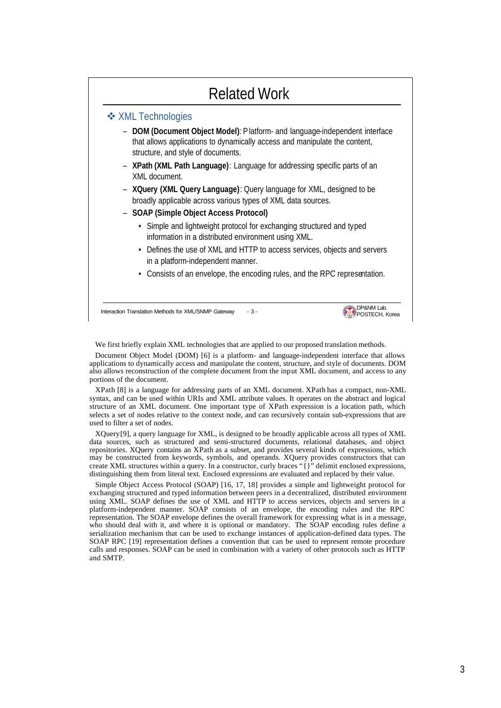# Related Work



We first briefly explain XML technologies that are applied to our proposed translation methods.

Document Object Model (DOM) [6] is a platform- and language-independent interface that allows applications to dynamically access and manipulate the content, structure, and style of documents. DOM also allows reconstruction of the complete document from the input XML document, and access to any portions of the document.

XPath [8] is a language for addressing parts of an XML document. XPath has a compact, non-XML syntax, and can be used within URIs and XML attribute values. It operates on the abstract and logical structure of an XML document. One important type of XPath expression is a location path, which selects a set of nodes relative to the context node, and can recursively contain sub-expressions that are used to filter a set of nodes.

XQuery[9], a query language for XML, is designed to be broadly applicable across all types of XML data sources, such as structured and semi-structured documents, relational databases, and object repositories. XQuery contains an XPath as a subset, and provides several kinds of expressions, which may be constructed from keywords, symbols, and operands. XQuery provides constructors that can create XML structures within a query. In a constructor, curly braces "{}" delimit enclosed expressions, distinguishing them from literal text. Enclosed expressions are evaluated and replaced by their value.

Simple Object Access Protocol (SOAP) [16, 17, 18] provides a simple and lightweight protocol for exchanging structured and typed information between peers in a decentralized, distributed environment using XML. SOAP defines the use of XML and HTTP to access services, objects and servers in a platform-independent manner. SOAP consists of an envelope, the encoding rules and the RPC representation. The SOAP envelope defines the overall framework for expressing what is in a message, who should deal with it, and where it is optional or mandatory. The SOAP encoding rules define a serialization mechanism that can be used to exchange instances of application-defined data types. The SOAP RPC [19] representation defines a convention that can be used to represent remote procedure calls and responses. SOAP can be used in combination with a variety of other protocols such as HTTP and SMTP.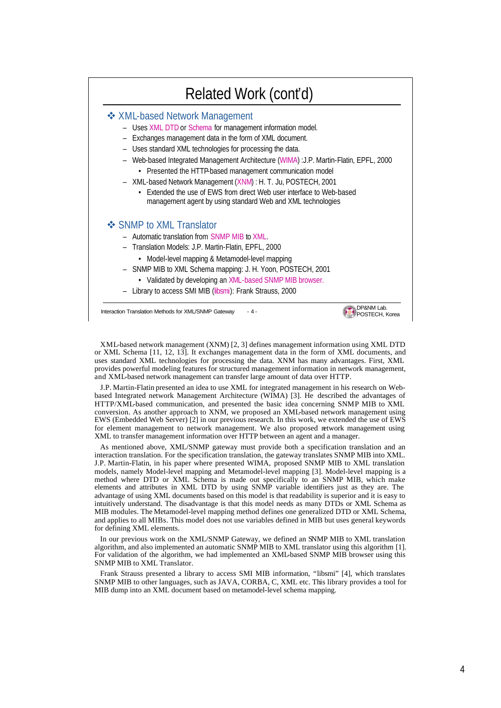### Related Work (cont'd)

#### v XML-based Network Management

- Uses XML DTD or Schema for management information model.
- Exchanges management data in the form of XML document.
- Uses standard XML technologies for processing the data.
- Web-based Integrated Management Architecture (WIMA) :J.P. Martin-Flatin, EPFL, 2000
	- Presented the HTTP-based management communication model
- XML-based Network Management (XNM) : H. T. Ju, POSTECH, 2001
	- Extended the use of EWS from direct Web user interface to Web-based management agent by using standard Web and XML technologies

#### **❖ SNMP to XML Translator**

- Automatic translation from SNMP MIB to XML.
- Translation Models: J.P. Martin-Flatin, EPFL, 2000
	- Model-level mapping & Metamodel-level mapping
- SNMP MIB to XML Schema mapping: J. H. Yoon, POSTECH, 2001
	- Validated by developing an XML-based SNMP MIB browser.
- Library to access SMI MIB (libsmi): Frank Strauss, 2000

Interaction Translation Methods for XML/SNMP Gateway - 4 -

XML-based network management (XNM) [2, 3] defines management information using XML DTD or XML Schema [11, 12, 13]. It exchanges management data in the form of XML documents, and uses standard XML technologies for processing the data. XNM has many advantages. First, XML provides powerful modeling features for structured management information in network management, and XML-based network management can transfer large amount of data over HTTP.

**DP&NM Lab.**<br><sup>1</sup> POSTECH, Korea

J.P. Martin-Flatin presented an idea to use XML for integrated management in his research on Webbased Integrated network Management Architecture (WIMA) [3]. He described the advantages of HTTP/XML-based communication, and presented the basic idea concerning SNMP MIB to XML conversion. As another approach to XNM, we proposed an XML-based network management using EWS (Embedded Web Server) [2] in our previous research. In this work, we extended the use of EWS for element management to network management. We also proposed network management using XML to transfer management information over HTTP between an agent and a manager.

As mentioned above, XML/SNMP gateway must provide both a specification translation and an interaction translation. For the specification translation, the gateway translates SNMP MIB into XML. J.P. Martin-Flatin, in his paper where presented WIMA, proposed SNMP MIB to XML translation models, namely Model-level mapping and Metamodel-level mapping [3]. Model-level mapping is a method where DTD or XML Schema is made out specifically to an SNMP MIB, which make elements and attributes in XML DTD by using SNMP variable identifiers just as they are. The advantage of using XML documents based on this model is that readability is superior and it is easy to intuitively understand. The disadvantage is that this model needs as many DTDs or XML Schema as MIB modules. The Metamodel-level mapping method defines one generalized DTD or XML Schema, and applies to all MIBs. This model does not use variables defined in MIB but uses general keywords for defining XML elements.

In our previous work on the XML/SNMP Gateway, we defined an SNMP MIB to XML translation algorithm, and also implemented an automatic SNMP MIB to XML translator using this algorithm [1]. For validation of the algorithm, we had implemented an XML-based SNMP MIB browser using this SNMP MIB to XML Translator.

Frank Strauss presented a library to access SMI MIB information, "libsmi" [4], which translates SNMP MIB to other languages, such as JAVA, CORBA, C, XML etc. This library provides a tool for MIB dump into an XML document based on metamodel-level schema mapping.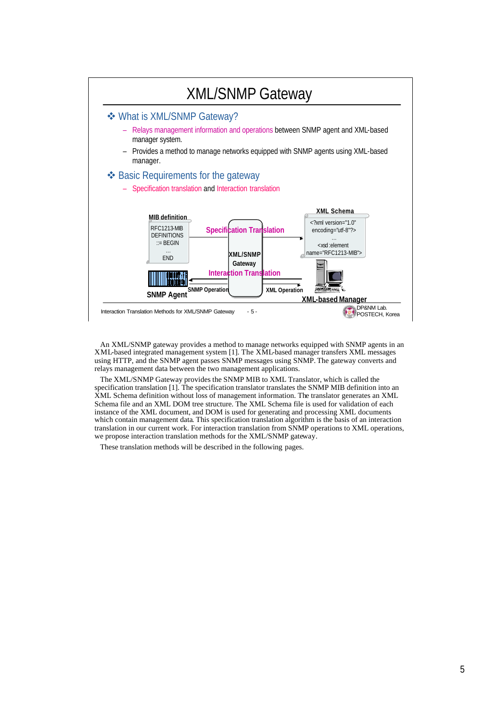

An XML/SNMP gateway provides a method to manage networks equipped with SNMP agents in an XML-based integrated management system [1]. The XML-based manager transfers XML messages using HTTP, and the SNMP agent passes SNMP messages using SNMP. The gateway converts and relays management data between the two management applications.

The XML/SNMP Gateway provides the SNMP MIB to XML Translator, which is called the specification translation [1]. The specification translator translates the SNMP MIB definition into an XML Schema definition without loss of management information. The translator generates an XML Schema file and an XML DOM tree structure. The XML Schema file is used for validation of each instance of the XML document, and DOM is used for generating and processing XML documents which contain management data. This specification translation algorithm is the basis of an interaction translation in our current work. For interaction translation from SNMP operations to XML operations, we propose interaction translation methods for the XML/SNMP gateway.

These translation methods will be described in the following pages.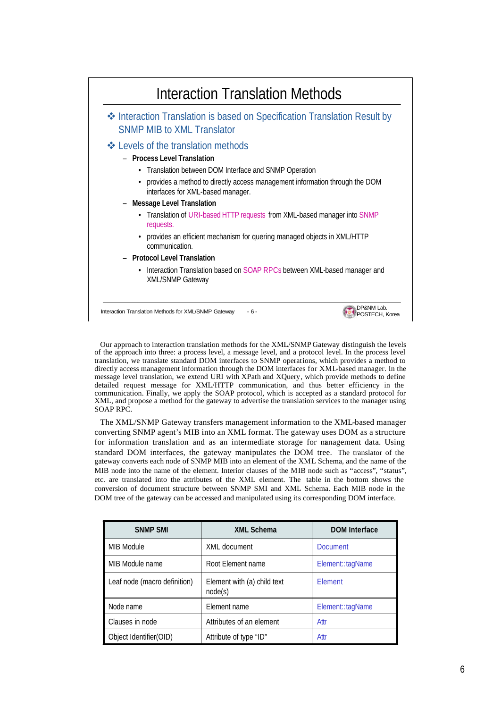

Our approach to interaction translation methods for the XML/SNMP Gateway distinguish the levels of the approach into three: a process level, a message level, and a protocol level. In the process level translation, we translate standard DOM interfaces to SNMP operations, which provides a method to directly access management information through the DOM interfaces for XML-based manager. In the message level translation, we extend URI with XPath and XQuery, which provide methods to define detailed request message for XML/HTTP communication, and thus better efficiency in the communication. Finally, we apply the SOAP protocol, which is accepted as a standard protocol for XML, and propose a method for the gateway to advertise the translation services to the manager using SOAP RPC.

The XML/SNMP Gateway transfers management information to the XML-based manager converting SNMP agent's MIB into an XML format. The gateway uses DOM as a structure for information translation and as an intermediate storage for management data. Using standard DOM interfaces, the gateway manipulates the DOM tree. The translator of the gateway converts each node of SNMP MIB into an element of the XML Schema, and the name of the MIB node into the name of the element. Interior clauses of the MIB node such as "access", "status", etc. are translated into the attributes of the XML element. The table in the bottom shows the conversion of document structure between SNMP SMI and XML Schema. Each MIB node in the DOM tree of the gateway can be accessed and manipulated using its corresponding DOM interface.

| <b>SNMP SMI</b>              | <b>XML Schema</b>                      | <b>DOM</b> Interface |
|------------------------------|----------------------------------------|----------------------|
| MIB Module                   | XML document                           | <b>Document</b>      |
| MIB Module name              | Root Element name                      | Element::tagName     |
| Leaf node (macro definition) | Element with (a) child text<br>node(s) | Element              |
| Node name                    | Element name                           | Element::tagName     |
| Clauses in node              | Attributes of an element               | Attr                 |
| Object Identifier (OID)      | Attribute of type "ID"                 | Attr                 |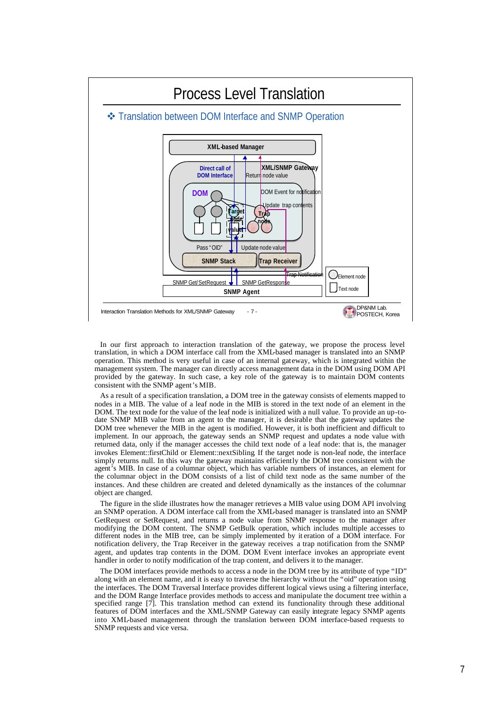

In our first approach to interaction translation of the gateway, we propose the process level translation, in which a DOM interface call from the XML-based manager is translated into an SNMP operation. This method is very useful in case of an internal gateway, which is integrated within the management system. The manager can directly access management data in the DOM using DOM API provided by the gateway. In such case, a key role of the gateway is to maintain DOM contents consistent with the SNMP agent's MIB.

As a result of a specification translation, a DOM tree in the gateway consists of elements mapped to nodes in a MIB. The value of a leaf node in the MIB is stored in the text node of an element in the DOM. The text node for the value of the leaf node is initialized with a null value. To provide an up-todate SNMP MIB value from an agent to the manager, it is desirable that the gateway updates the DOM tree whenever the MIB in the agent is modified. However, it is both inefficient and difficult to implement. In our approach, the gateway sends an SNMP request and updates a node value with returned data, only if the manager accesses the child text node of a leaf node: that is, the manager invokes Element::firstChild or Element::nextSibling. If the target node is non-leaf node, the interface simply returns null. In this way the gateway maintains efficiently the DOM tree consistent with the agent's MIB. In case of a columnar object, which has variable numbers of instances, an element for the columnar object in the DOM consists of a list of child text node as the same number of the instances. And these children are created and deleted dynamically as the instances of the columnar object are changed.

The figure in the slide illustrates how the manager retrieves a MIB value using DOM API involving an SNMP operation. A DOM interface call from the XML-based manager is translated into an SNMP GetRequest or SetRequest, and returns a node value from SNMP response to the manager after modifying the DOM content. The SNMP GetBulk operation, which includes multiple accesses to different nodes in the MIB tree, can be simply implemented by it eration of a DOM interface. For notification delivery, the Trap Receiver in the gateway receives a trap notification from the SNMP agent, and updates trap contents in the DOM. DOM Event interface invokes an appropriate event handler in order to notify modification of the trap content, and delivers it to the manager.

The DOM interfaces provide methods to access a node in the DOM tree by its attribute of type "ID" along with an element name, and it is easy to traverse the hierarchy without the "oid" operation using the interfaces. The DOM Traversal Interface provides different logical views using a filtering interface, and the DOM Range Interface provides methods to access and manipulate the document tree within a specified range [7]. This translation method can extend its functionality through these additional features of DOM interfaces and the XML/SNMP Gateway can easily integrate legacy SNMP agents into XML-based management through the translation between DOM interface-based requests to SNMP requests and vice versa.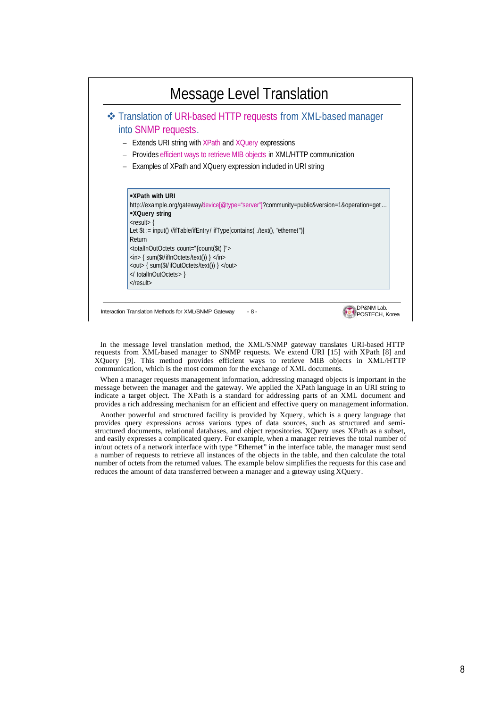

In the message level translation method, the XML/SNMP gateway translates URI-based HTTP requests from XML-based manager to SNMP requests. We extend URI [15] with XPath [8] and XQuery [9]. This method provides efficient ways to retrieve MIB objects in XML/HTTP communication, which is the most common for the exchange of XML documents.

When a manager requests management information, addressing managed objects is important in the message between the manager and the gateway. We applied the XPath language in an URI string to indicate a target object. The XPath is a standard for addressing parts of an XML document and provides a rich addressing mechanism for an efficient and effective query on management information.

Another powerful and structured facility is provided by Xquery, which is a query language that provides query expressions across various types of data sources, such as structured and semistructured documents, relational databases, and object repositories. XQuery uses XPath as a subset, and easily expresses a complicated query. For example, when a manager retrieves the total number of in/out octets of a network interface with type "Ethernet" in the interface table, the manager must send a number of requests to retrieve all instances of the objects in the table, and then calculate the total number of octets from the returned values. The example below simplifies the requests for this case and reduces the amount of data transferred between a manager and a gateway using XQuery.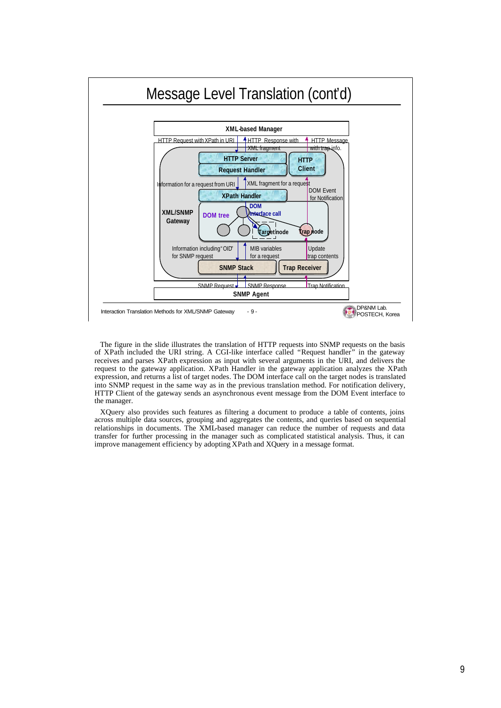

The figure in the slide illustrates the translation of HTTP requests into SNMP requests on the basis of XPath included the URI string. A CGI-like interface called "Request handler" in the gateway receives and parses XPath expression as input with several arguments in the URI, and delivers the request to the gateway application. XPath Handler in the gateway application analyzes the XPath expression, and returns a list of target nodes. The DOM interface call on the target nodes is translated into SNMP request in the same way as in the previous translation method. For notification delivery, HTTP Client of the gateway sends an asynchronous event message from the DOM Event interface to the manager.

XQuery also provides such features as filtering a document to produce a table of contents, joins across multiple data sources, grouping and aggregates the contents, and queries based on sequential relationships in documents. The XML-based manager can reduce the number of requests and data transfer for further processing in the manager such as complicated statistical analysis. Thus, it can improve management efficiency by adopting XPath and XQuery in a message format.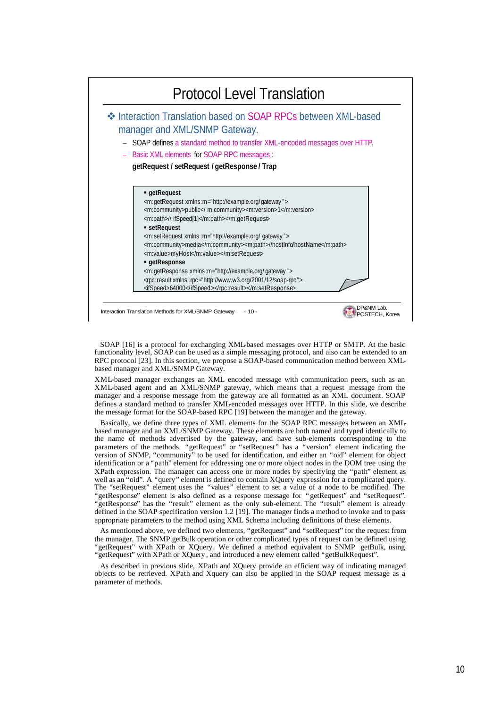

SOAP [16] is a protocol for exchanging XML-based messages over HTTP or SMTP. At the basic functionality level, SOAP can be used as a simple messaging protocol, and also can be extended to an RPC protocol [23]. In this section, we propose a SOAP-based communication method between XMLbased manager and XML/SNMP Gateway.

XML-based manager exchanges an XML encoded message with communication peers, such as an XML-based agent and an XML/SNMP gateway, which means that a request message from the manager and a response message from the gateway are all formatted as an XML document. SOAP defines a standard method to transfer XML-encoded messages over HTTP. In this slide, we describe the message format for the SOAP-based RPC [19] between the manager and the gateway.

Basically, we define three types of XML elements for the SOAP RPC messages between an XMLbased manager and an XML/SNMP Gateway. These elements are both named and typed identically to the name of methods advertised by the gateway, and have sub-elements corresponding to the parameters of the methods. "getRequest" or "setRequest" has a "version" element indicating the version of SNMP, "community" to be used for identification, and either an "oid" element for object identification or a "path" element for addressing one or more object nodes in the DOM tree using the XPath expression. The manager can access one or more nodes by specifying the "path" element as well as an "oid". A "query" element is defined to contain XQuery expression for a complicated query. The "setRequest" element uses the "values" element to set a value of a node to be modified. The "getResponse" element is also defined as a response message for "getRequest" and "setRequest". "getResponse" has the "result" element as the only sub-element. The "result" element is already defined in the SOAP specification version 1.2 [19]. The manager finds a method to invoke and to pass appropriate parameters to the method using XML Schema including definitions of these elements.

As mentioned above, we defined two elements, "getRequest" and "setRequest" for the request from the manager. The SNMP getBulk operation or other complicated types of request can be defined using "getRequest" with XPath or XQuery. We defined a method equivalent to SNMP getBulk, using "getRequest" with XPath or XQuery , and introduced a new element called "getBulkRequest".

As described in previous slide, XPath and XQuery provide an efficient way of indicating managed objects to be retrieved. XPath and Xquery can also be applied in the SOAP request message as a parameter of methods.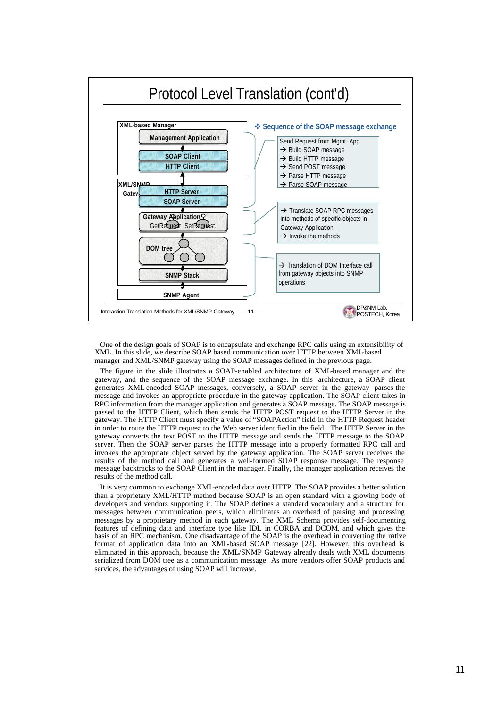

One of the design goals of SOAP is to encapsulate and exchange RPC calls using an extensibility of XML. In this slide, we describe SOAP based communication over HTTP between XML-based manager and XML/SNMP gateway using the SOAP messages defined in the previous page.

The figure in the slide illustrates a SOAP-enabled architecture of XML-based manager and the gateway, and the sequence of the SOAP message exchange. In this architecture, a SOAP client generates XML-encoded SOAP messages, conversely, a SOAP server in the gateway parses the message and invokes an appropriate procedure in the gateway application. The SOAP client takes in RPC information from the manager application and generates a SOAP message. The SOAP message is passed to the HTTP Client, which then sends the HTTP POST request to the HTTP Server in the gateway. The HTTP Client must specify a value of "SOAPAction" field in the HTTP Request header in order to route the HTTP request to the Web server identified in the field. The HTTP Server in the gateway converts the text POST to the HTTP message and sends the HTTP message to the SOAP server. Then the SOAP server parses the HTTP message into a properly formatted RPC call and invokes the appropriate object served by the gateway application. The SOAP server receives the results of the method call and generates a well-formed SOAP response message. The response message backtracks to the SOAP Client in the manager. Finally, the manager application receives the results of the method call.

It is very common to exchange XML-encoded data over HTTP. The SOAP provides a better solution than a proprietary XML/HTTP method because SOAP is an open standard with a growing body of developers and vendors supporting it. The SOAP defines a standard vocabulary and a structure for messages between communication peers, which eliminates an overhead of parsing and processing messages by a proprietary method in each gateway. The XML Schema provides self-documenting features of defining data and interface type like IDL in CORBA and DCOM, and which gives the basis of an RPC mechanism. One disadvantage of the SOAP is the overhead in converting the native format of application data into an XML-based SOAP message [22]. However, this overhead is eliminated in this approach, because the XML/SNMP Gateway already deals with XML documents serialized from DOM tree as a communication message. As more vendors offer SOAP products and services, the advantages of using SOAP will increase.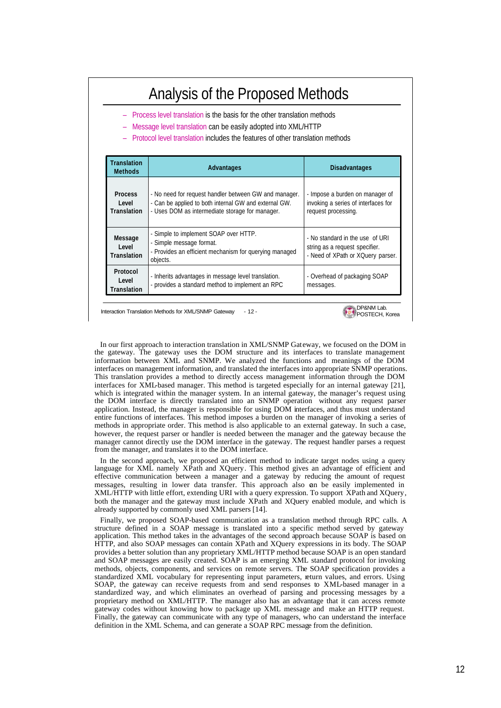# Analysis of the Proposed Methods

- Process level translation is the basis for the other translation methods
- Message level translation can be easily adopted into XML/HTTP
- Protocol level translation includes the features of other translation methods

| <b>Translation</b><br><b>Methods</b>           | Advantages                                                                                                                                                        | <b>Disadvantages</b>                                                                                   |
|------------------------------------------------|-------------------------------------------------------------------------------------------------------------------------------------------------------------------|--------------------------------------------------------------------------------------------------------|
| <b>Process</b><br>I evel<br><b>Translation</b> | - No need for request handler between GW and manager.<br>- Can be applied to both internal GW and external GW.<br>- Uses DOM as intermediate storage for manager. | - Impose a burden on manager of<br>invoking a series of interfaces for<br>request processing.          |
| Message<br>I evel<br><b>Translation</b>        | - Simple to implement SOAP over HTTP.<br>- Simple message format.<br>- Provides an efficient mechanism for querying managed<br>objects.                           | - No standard in the use of URI<br>string as a request specifier.<br>- Need of XPath or XQuery parser. |
| Protocol<br>I evel<br><b>Translation</b>       | - Inherits advantages in message level translation.<br>- provides a standard method to implement an RPC                                                           | - Overhead of packaging SOAP<br>messages.                                                              |

DP&NM Lab.<br>DPSTECH, Korea

Interaction Translation Methods for XML/SNMP Gateway - 12 -

In our first approach to interaction translation in XML/SNMP Gateway, we focused on the DOM in the gateway. The gateway uses the DOM structure and its interfaces to translate management information between XML and SNMP. We analyzed the functions and meanings of the DOM interfaces on management information, and translated the interfaces into appropriate SNMP operations. This translation provides a method to directly access management information through the DOM interfaces for XML-based manager. This method is targeted especially for an internal gateway [21], which is integrated within the manager system. In an internal gateway, the manager's request using the DOM interface is directly translated into an SNMP operation without any request parser application. Instead, the manager is responsible for using DOM interfaces, and thus must understand entire functions of interfaces. This method imposes a burden on the manager of invoking a series of methods in appropriate order. This method is also applicable to an external gateway. In such a case, however, the request parser or handler is needed between the manager and the gateway because the manager cannot directly use the DOM interface in the gateway. The request handler parses a request from the manager, and translates it to the DOM interface.

In the second approach, we proposed an efficient method to indicate target nodes using a query language for XML namely XPath and XQuery. This method gives an advantage of efficient and effective communication between a manager and a gateway by reducing the amount of request messages, resulting in lower data transfer. This approach also an be easily implemented in XML/HTTP with little effort, extending URI with a query expression. To support XPath and XQuery, both the manager and the gateway must include XPath and XQuery enabled module, and which is already supported by commonly used XML parsers [14].

Finally, we proposed SOAP-based communication as a translation method through RPC calls. A structure defined in a SOAP message is translated into a specific method served by gateway application. This method takes in the advantages of the second approach because SOAP is based on HTTP, and also SOAP messages can contain XPath and XQuery expressions in its body. The SOAP provides a better solution than any proprietary XML/HTTP method because SOAP is an open standard and SOAP messages are easily created. SOAP is an emerging XML standard protocol for invoking methods, objects, components, and services on remote servers. The SOAP specification provides a standardized XML vocabulary for representing input parameters, return values, and errors. Using SOAP, the gateway can receive requests from and send responses to XML-based manager in a standardized way, and which eliminates an overhead of parsing and processing messages by a proprietary method on XML/HTTP. The manager also has an advantage that it can access remote gateway codes without knowing how to package up XML message and make an HTTP request. Finally, the gateway can communicate with any type of managers, who can understand the interface definition in the XML Schema, and can generate a SOAP RPC message from the definition.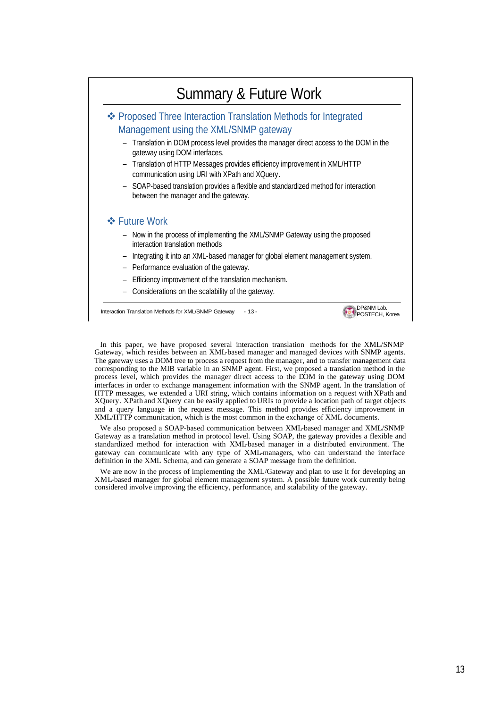## Summary & Future Work

### v Proposed Three Interaction Translation Methods for Integrated Management using the XML/SNMP gateway

- Translation in DOM process level provides the manager direct access to the DOM in the gateway using DOM interfaces.
- Translation of HTTP Messages provides efficiency improvement in XML/HTTP communication using URI with XPath and XQuery.
- SOAP-based translation provides a flexible and standardized method for interaction between the manager and the gateway.

#### $\div$  **Future Work**

- Now in the process of implementing the XML/SNMP Gateway using the proposed interaction translation methods
- Integrating it into an XML-based manager for global element management system.
- Performance evaluation of the gateway.
- Efficiency improvement of the translation mechanism.
- Considerations on the scalability of the gateway.

Interaction Translation Methods for XML/SNMP Gateway - 13 -



In this paper, we have proposed several interaction translation methods for the XML/SNMP Gateway, which resides between an XML-based manager and managed devices with SNMP agents. The gateway uses a DOM tree to process a request from the manager, and to transfer management data corresponding to the MIB variable in an SNMP agent. First, we proposed a translation method in the process level, which provides the manager direct access to the DOM in the gateway using DOM interfaces in order to exchange management information with the SNMP agent. In the translation of HTTP messages, we extended a URI string, which contains information on a request with XPath and XQuery. XPath and XQuery can be easily applied to URIs to provide a location path of target objects and a query language in the request message. This method provides efficiency improvement in XML/HTTP communication, which is the most common in the exchange of XML documents.

We also proposed a SOAP-based communication between XML-based manager and XML/SNMP Gateway as a translation method in protocol level. Using SOAP, the gateway provides a flexible and standardized method for interaction with XML-based manager in a distributed environment. The gateway can communicate with any type of XML-managers, who can understand the interface definition in the XML Schema, and can generate a SOAP message from the definition.

We are now in the process of implementing the XML/Gateway and plan to use it for developing an XML-based manager for global element management system. A possible future work currently being considered involve improving the efficiency, performance, and scalability of the gateway.